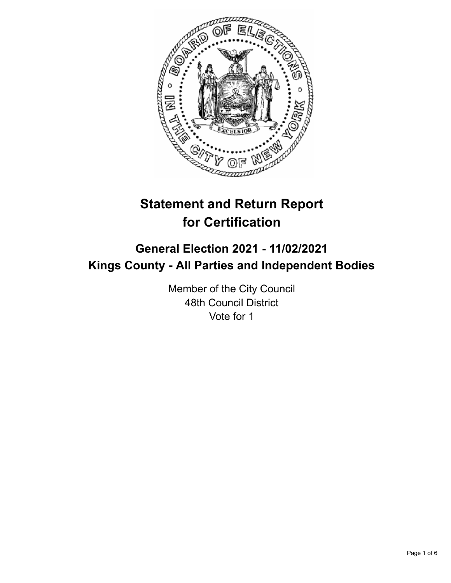

# **Statement and Return Report for Certification**

## **General Election 2021 - 11/02/2021 Kings County - All Parties and Independent Bodies**

Member of the City Council 48th Council District Vote for 1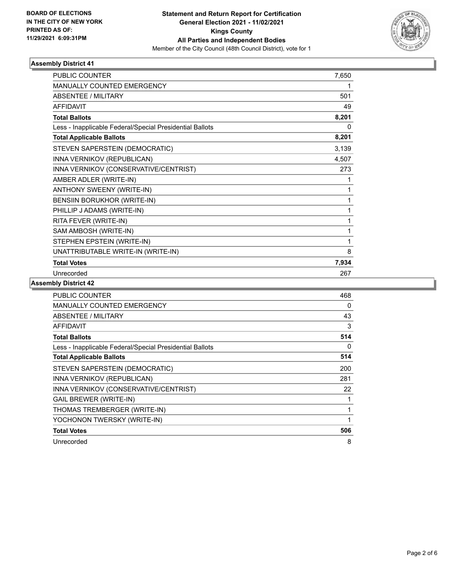

### **Assembly District 41**

| <b>PUBLIC COUNTER</b>                                    | 7,650 |
|----------------------------------------------------------|-------|
| <b>MANUALLY COUNTED EMERGENCY</b>                        |       |
| ABSENTEE / MILITARY                                      | 501   |
| <b>AFFIDAVIT</b>                                         | 49    |
| <b>Total Ballots</b>                                     | 8,201 |
| Less - Inapplicable Federal/Special Presidential Ballots | 0     |
| <b>Total Applicable Ballots</b>                          | 8,201 |
| STEVEN SAPERSTEIN (DEMOCRATIC)                           | 3,139 |
| INNA VERNIKOV (REPUBLICAN)                               | 4,507 |
| INNA VERNIKOV (CONSERVATIVE/CENTRIST)                    | 273   |
| AMBER ADLER (WRITE-IN)                                   |       |
| ANTHONY SWEENY (WRITE-IN)                                | 1     |
| BENSIIN BORUKHOR (WRITE-IN)                              | 1     |
| PHILLIP J ADAMS (WRITE-IN)                               | 1     |
| RITA FEVER (WRITE-IN)                                    | 1     |
| SAM AMBOSH (WRITE-IN)                                    | 1     |
| STEPHEN EPSTEIN (WRITE-IN)                               | 1     |
| UNATTRIBUTABLE WRITE-IN (WRITE-IN)                       | 8     |
| <b>Total Votes</b>                                       | 7,934 |
| Unrecorded                                               | 267   |

### **Assembly District 42**

| PUBLIC COUNTER                                           | 468 |
|----------------------------------------------------------|-----|
| <b>MANUALLY COUNTED EMERGENCY</b>                        | 0   |
| ABSENTEE / MILITARY                                      | 43  |
| AFFIDAVIT                                                | 3   |
| <b>Total Ballots</b>                                     | 514 |
| Less - Inapplicable Federal/Special Presidential Ballots | 0   |
| <b>Total Applicable Ballots</b>                          | 514 |
| STEVEN SAPERSTEIN (DEMOCRATIC)                           | 200 |
| INNA VERNIKOV (REPUBLICAN)                               | 281 |
| INNA VERNIKOV (CONSERVATIVE/CENTRIST)                    | 22  |
| <b>GAIL BREWER (WRITE-IN)</b>                            |     |
| THOMAS TREMBERGER (WRITE-IN)                             | 1   |
| YOCHONON TWERSKY (WRITE-IN)                              |     |
| <b>Total Votes</b>                                       | 506 |
| Unrecorded                                               | 8   |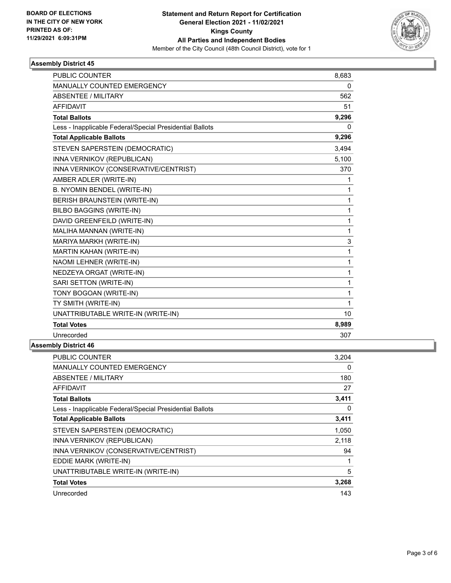

### **Assembly District 45**

| <b>PUBLIC COUNTER</b>                                    | 8,683        |
|----------------------------------------------------------|--------------|
| MANUALLY COUNTED EMERGENCY                               | 0            |
| <b>ABSENTEE / MILITARY</b>                               | 562          |
| <b>AFFIDAVIT</b>                                         | 51           |
| <b>Total Ballots</b>                                     | 9,296        |
| Less - Inapplicable Federal/Special Presidential Ballots | 0            |
| <b>Total Applicable Ballots</b>                          | 9,296        |
| STEVEN SAPERSTEIN (DEMOCRATIC)                           | 3,494        |
| INNA VERNIKOV (REPUBLICAN)                               | 5,100        |
| INNA VERNIKOV (CONSERVATIVE/CENTRIST)                    | 370          |
| AMBER ADLER (WRITE-IN)                                   | 1            |
| B. NYOMIN BENDEL (WRITE-IN)                              | 1            |
| BERISH BRAUNSTEIN (WRITE-IN)                             | 1            |
| <b>BILBO BAGGINS (WRITE-IN)</b>                          | 1            |
| DAVID GREENFEILD (WRITE-IN)                              | $\mathbf 1$  |
| MALIHA MANNAN (WRITE-IN)                                 | 1            |
| MARIYA MARKH (WRITE-IN)                                  | 3            |
| MARTIN KAHAN (WRITE-IN)                                  | 1            |
| NAOMI LEHNER (WRITE-IN)                                  | 1            |
| NEDZEYA ORGAT (WRITE-IN)                                 | $\mathbf{1}$ |
| SARI SETTON (WRITE-IN)                                   | 1            |
| TONY BOGOAN (WRITE-IN)                                   | 1            |
| TY SMITH (WRITE-IN)                                      | 1            |
| UNATTRIBUTABLE WRITE-IN (WRITE-IN)                       | 10           |
| <b>Total Votes</b>                                       | 8,989        |
| Unrecorded                                               | 307          |

### **Assembly District 46**

| PUBLIC COUNTER                                           | 3,204    |
|----------------------------------------------------------|----------|
| <b>MANUALLY COUNTED EMERGENCY</b>                        | 0        |
| ABSENTEE / MILITARY                                      | 180      |
| <b>AFFIDAVIT</b>                                         | 27       |
| <b>Total Ballots</b>                                     | 3,411    |
| Less - Inapplicable Federal/Special Presidential Ballots | $\Omega$ |
| <b>Total Applicable Ballots</b>                          | 3,411    |
| STEVEN SAPERSTEIN (DEMOCRATIC)                           | 1,050    |
| INNA VERNIKOV (REPUBLICAN)                               | 2,118    |
| INNA VERNIKOV (CONSERVATIVE/CENTRIST)                    | 94       |
| EDDIE MARK (WRITE-IN)                                    | 1        |
| UNATTRIBUTABLE WRITE-IN (WRITE-IN)                       | 5        |
| <b>Total Votes</b>                                       | 3,268    |
| Unrecorded                                               | 143      |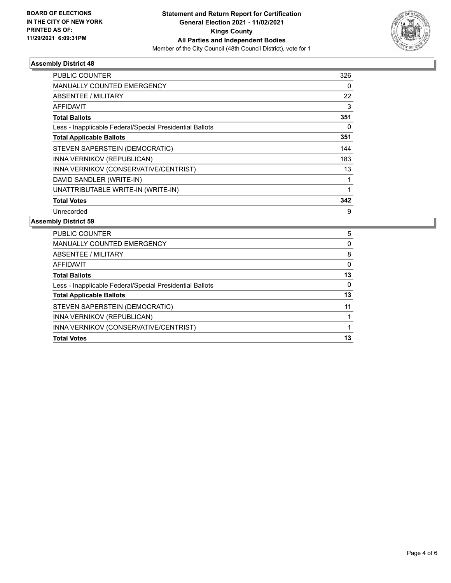

### **Assembly District 48**

| PUBLIC COUNTER                                           | 326 |
|----------------------------------------------------------|-----|
| <b>MANUALLY COUNTED EMERGENCY</b>                        | 0   |
| ABSENTEE / MILITARY                                      | 22  |
| AFFIDAVIT                                                | 3   |
| <b>Total Ballots</b>                                     | 351 |
| Less - Inapplicable Federal/Special Presidential Ballots | 0   |
| <b>Total Applicable Ballots</b>                          | 351 |
| STEVEN SAPERSTEIN (DEMOCRATIC)                           | 144 |
| INNA VERNIKOV (REPUBLICAN)                               | 183 |
| INNA VERNIKOV (CONSERVATIVE/CENTRIST)                    | 13  |
| DAVID SANDLER (WRITE-IN)                                 |     |
| UNATTRIBUTABLE WRITE-IN (WRITE-IN)                       |     |
| <b>Total Votes</b>                                       | 342 |
| Unrecorded                                               | 9   |

### **Assembly District 59**

| 5        |
|----------|
| 0        |
| 8        |
| $\Omega$ |
| 13       |
| 0        |
| 13       |
| 11       |
|          |
|          |
| 13       |
|          |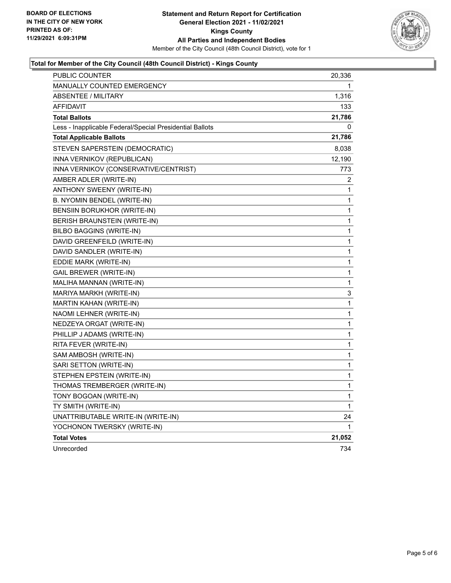

### **Total for Member of the City Council (48th Council District) - Kings County**

| PUBLIC COUNTER                                           | 20,336 |
|----------------------------------------------------------|--------|
| <b>MANUALLY COUNTED EMERGENCY</b>                        | 1      |
| ABSENTEE / MILITARY                                      | 1,316  |
| <b>AFFIDAVIT</b>                                         | 133    |
| <b>Total Ballots</b>                                     | 21,786 |
| Less - Inapplicable Federal/Special Presidential Ballots | 0      |
| <b>Total Applicable Ballots</b>                          | 21,786 |
| STEVEN SAPERSTEIN (DEMOCRATIC)                           | 8,038  |
| INNA VERNIKOV (REPUBLICAN)                               | 12,190 |
| INNA VERNIKOV (CONSERVATIVE/CENTRIST)                    | 773    |
| AMBER ADLER (WRITE-IN)                                   | 2      |
| ANTHONY SWEENY (WRITE-IN)                                | 1      |
| B. NYOMIN BENDEL (WRITE-IN)                              | 1      |
| BENSIIN BORUKHOR (WRITE-IN)                              | 1      |
| BERISH BRAUNSTEIN (WRITE-IN)                             | 1      |
| <b>BILBO BAGGINS (WRITE-IN)</b>                          | 1      |
| DAVID GREENFEILD (WRITE-IN)                              | 1      |
| DAVID SANDLER (WRITE-IN)                                 | 1      |
| EDDIE MARK (WRITE-IN)                                    | 1      |
| GAIL BREWER (WRITE-IN)                                   | 1      |
| MALIHA MANNAN (WRITE-IN)                                 | 1      |
| MARIYA MARKH (WRITE-IN)                                  | 3      |
| MARTIN KAHAN (WRITE-IN)                                  | 1      |
| NAOMI LEHNER (WRITE-IN)                                  | 1      |
| NEDZEYA ORGAT (WRITE-IN)                                 | 1      |
| PHILLIP J ADAMS (WRITE-IN)                               | 1      |
| RITA FEVER (WRITE-IN)                                    | 1      |
| SAM AMBOSH (WRITE-IN)                                    | 1      |
| SARI SETTON (WRITE-IN)                                   | 1      |
| STEPHEN EPSTEIN (WRITE-IN)                               | 1      |
| THOMAS TREMBERGER (WRITE-IN)                             | 1      |
| TONY BOGOAN (WRITE-IN)                                   | 1      |
| TY SMITH (WRITE-IN)                                      | 1      |
| UNATTRIBUTABLE WRITE-IN (WRITE-IN)                       | 24     |
| YOCHONON TWERSKY (WRITE-IN)                              | 1      |
| <b>Total Votes</b>                                       | 21,052 |
| Unrecorded                                               | 734    |